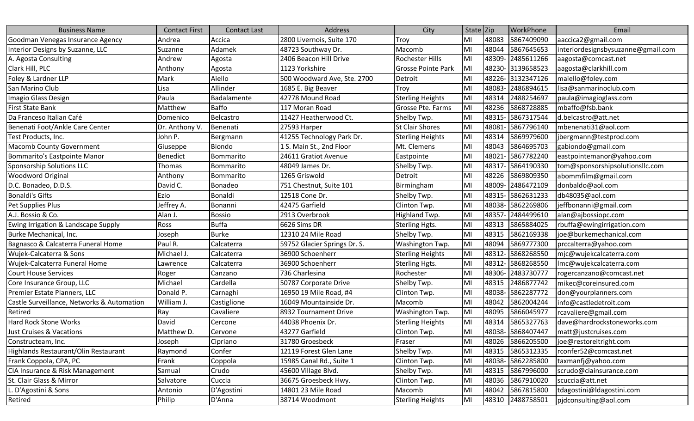| <b>Business Name</b>                       | <b>Contact First</b> | <b>Contact Last</b> | Address                      | City                      | State Zip |       | <b>WorkPhone</b>  | Email                              |
|--------------------------------------------|----------------------|---------------------|------------------------------|---------------------------|-----------|-------|-------------------|------------------------------------|
| Goodman Venegas Insurance Agency           | Andrea               | Accica              | 2800 Livernois, Suite 170    | Troy                      | lмı       | 48083 | 5867409090        | aaccica2@gmail.com                 |
| Interior Designs by Suzanne, LLC           | Suzanne              | Adamek              | 48723 Southway Dr.           | Macomb                    | MI        | 48044 | 5867645653        | interiordesignsbysuzanne@gmail.com |
| A. Agosta Consulting                       | Andrew               | Agosta              | 2406 Beacon Hill Drive       | Rochester Hills           | MI        | 48309 | 2485611266        | aagosta@comcast.net                |
| Clark Hill, PLC                            | Anthony              | Agosta              | 1123 Yorkshire               | <b>Grosse Pointe Park</b> | MI        | 48230 | 3139658523        | aagosta@clarkhill.com              |
| Foley & Lardner LLP                        | Mark                 | Aiello              | 500 Woodward Ave, Ste. 2700  | Detroit                   | MI        | 48226 | 3132347126        | maiello@foley.com                  |
| San Marino Club                            | Lisa                 | Allinder            | 1685 E. Big Beaver           | Troy                      | MI        | 48083 | 2486894615        | lisa@sanmarinoclub.com             |
| Imagio Glass Design                        | Paula                | Badalamente         | 42778 Mound Road             | <b>Sterling Heights</b>   | MI        | 48314 | 2488254697        | paula@imagioglass.com              |
| <b>First State Bank</b>                    | Matthew              | <b>Baffo</b>        | 117 Moran Road               | Grosse Pte. Farms         | MI        | 48236 | 5868728885        | mbaffo@fsb.bank                    |
| Da Franceso Italian Café                   | Domenico             | Belcastro           | 11427 Heatherwood Ct.        | Shelby Twp.               | MI        | 48315 | 5867317544        | d.belcastro@att.net                |
| Benenati Foot/Ankle Care Center            | Dr. Anthony V.       | Benenati            | 27593 Harper                 | <b>St Clair Shores</b>    | MI        | 48081 | 5867796140        | mbenenati31@aol.com                |
| Test Products, Inc.                        | John P.              | Bergmann            | 41255 Technology Park Dr.    | <b>Sterling Heights</b>   | MI        | 48314 | 5869979600        | jbergmann@testprod.com             |
| <b>Macomb County Government</b>            | Giuseppe             | <b>Biondo</b>       | 1 S. Main St., 2nd Floor     | Mt. Clemens               | MI        | 48043 | 5864695703        | gabiondo@gmail.com                 |
| Bommarito's Eastpointe Manor               | <b>Benedict</b>      | Bommarito           | 24611 Gratiot Avenue         | Eastpointe                | MI        | 48021 | 5867782240        | eastpointemanor@yahoo.com          |
| Sponsorship Solutions LLC                  | Thomas               | Bommarito           | 48049 James Dr.              | Shelby Twp.               | MI        | 48317 | 5864190330        | tom@sponsorshipsolutionsllc.com    |
| <b>Woodword Original</b>                   | Anthony              | Bommarito           | 1265 Griswold                | Detroit                   | MI        | 48226 | 5869809350        | abommfilm@gmail.com                |
| D.C. Bonadeo, D.D.S.                       | David C.             | Bonadeo             | 751 Chestnut, Suite 101      | Birmingham                | MI        | 48009 | 2486472109        | donbaldo@aol.com                   |
| Bonaldi's Gifts                            | Ezio                 | Bonaldi             | 12518 Cone Dr.               | Shelby Twp.               | MI        | 48315 | 5862631233        | db48035@aol.com                    |
| Pet Supplies Plus                          | Jeffrey A.           | Bonanni             | 42475 Garfield               | Clinton Twp.              | MI        | 48038 | 5862269806        | jeffbonanni@gmail.com              |
| A.J. Bossio & Co.                          | Alan J.              | <b>Bossio</b>       | 2913 Overbrook               | Highland Twp.             | MI        | 48357 | 2484499610        | alan@ajbossiopc.com                |
| Ewing Irrigation & Landscape Supply        | Ross                 | <b>Buffa</b>        | 6626 Sims DR                 | Sterling Hgts.            | MI        | 48313 | 5865884025        | rbuffa@ewingirrigation.com         |
| Burke Mechanical, Inc.                     | Joseph               | <b>Burke</b>        | 12310 24 Mile Road           | Shelby Twp.               | MI        | 48315 | 5862169338        | joe@burkemechanical.com            |
| Bagnasco & Calcaterra Funeral Home         | Paul R.              | Calcaterra          | 59752 Glacier Springs Dr. S. | Washington Twp.           | MI        | 48094 | 5869777300        | prccalterra@yahoo.com              |
| Wujek-Calcaterra & Sons                    | Michael J.           | Calcaterra          | 36900 Schoenherr             | <b>Sterling Heights</b>   | MI        | 48312 | 5868268550        | mjc@wujekcalcaterra.com            |
| Wujek-Calcaterra Funeral Home              | Lawrence             | Calcaterra          | 36900 Schoenherr             | <b>Sterling Hgts.</b>     | MI        | 48312 | 5868268550        | lmc@wujekcalcaterra.com            |
| Court House Services                       | Roger                | Canzano             | 736 Charlesina               | Rochester                 | MI        | 48306 | 2483730777        | rogercanzano@comcast.net           |
| Core Insurance Group, LLC                  | Michael              | Cardella            | 50787 Corporate Drive        | Shelby Twp.               | MI        | 48315 | 2486877742        | mikec@coreinsured.com              |
| Premier Estate Planners, LLC               | Donald P.            | Carnaghi            | 16950 19 Mile Road, #4       | Clinton Twp.              | MI        | 48038 | 5862287772        | don@yourplanners.com               |
| Castle Surveillance, Networks & Automation | William J.           | Castiglione         | 16049 Mountainside Dr.       | Macomb                    | MI        | 48042 | 5862004244        | info@castledetroit.com             |
| Retired                                    | Ray                  | Cavaliere           | 8932 Tournament Drive        | Washington Twp.           | MI        | 48095 | 5866045977        | rcavaliere@gmail.com               |
| <b>Hard Rock Stone Works</b>               | David                | Cercone             | 44038 Phoenix Dr.            | <b>Sterling Heights</b>   | MI        | 48314 | 5865327763        | dave@hardrockstoneworks.com        |
| Just Cruises & Vacations                   | Matthew D.           | Cervone             | 43277 Garfield               | Clinton Twp.              | MI        |       | 48038- 5868407447 | matt@justcruises.com               |
| Constructeam, Inc.                         | Joseph               | Cipriano            | 31780 Groesbeck              | Fraser                    | MI        | 48026 | 5866205500        | joe@restoreitright.com             |
| Highlands Restaurant/Olin Restaurant       | Raymond              | Confer              | 12119 Forest Glen Lane       | Shelby Twp.               | MI        | 48315 | 5865312335        | rconfer52@comcast.net              |
| Frank Coppola, CPA, PC                     | Frank                | Coppola             | 15985 Canal Rd., Suite 1     | Clinton Twp.              | MI        |       | 48038- 5862285800 | taxmanfj@yahoo.com                 |
| CIA Insurance & Risk Management            | Samual               | Crudo               | 45600 Village Blvd.          | Shelby Twp.               | MI        | 48315 | 5867996000        | scrudo@ciainsurance.com            |
| St. Clair Glass & Mirror                   | Salvatore            | Cuccia              | 36675 Groesbeck Hwy.         | Clinton Twp.              | MI        | 48036 | 5867910020        | scuccia@att.net                    |
| . D'Agostini & Sons                        | Antonio              | D'Agostini          | 14801 23 Mile Road           | Macomb                    | MI        | 48042 | 5867815800        | tdagostini@ldagostini.com          |
| Retired                                    | Philip               | D'Anna              | 38714 Woodmont               | <b>Sterling Heights</b>   | MI        | 48310 | 2488758501        | pjdconsulting@aol.com              |
|                                            |                      |                     |                              |                           |           |       |                   |                                    |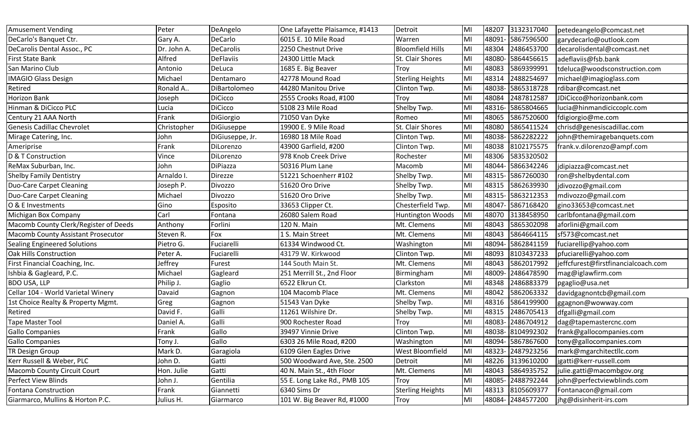| <b>Amusement Vending</b>              | Peter          | DeAngelo         | One Lafayette Plaisamce, #1413 | Detroit                 | MI  |        | 48207 3132317040  | petedeangelo@comcast.net            |
|---------------------------------------|----------------|------------------|--------------------------------|-------------------------|-----|--------|-------------------|-------------------------------------|
| DeCarlo's Banquet Ctr.                | Gary A.        | DeCarlo          | 6015 E. 10 Mile Road           | Warren                  | MI  | 48091- | 5867596500        | garydecarlo@outlook.com             |
| DeCarolis Dental Assoc., PC           | Dr. John A.    | <b>DeCarolis</b> | 2250 Chestnut Drive            | <b>Bloomfield Hills</b> | MI  | 48304  | 2486453700        | decarolisdental@comcast.net         |
| <b>First State Bank</b>               | Alfred         | <b>DeFlaviis</b> | 24300 Little Mack              | St. Clair Shores        | MI  | 48080- | 5864456615        | adeflaviis@fsb.bank                 |
| San Marino Club                       | Antonio        | DeLuca           | 1685 E. Big Beaver             | Troy                    | MI  | 48083  | 5869399991        | tdeluca@woodsconstruction.com       |
| <b>MAGIO Glass Design</b>             | Michael        | Dentamaro        | 42778 Mound Road               | <b>Sterling Heights</b> | MI  | 48314  | 2488254697        | michael@imagioglass.com             |
| Retired                               | Ronald A       | DiBartolomeo     | 44280 Manitou Drive            | Clinton Twp.            | Mi  | 48038  | 5865318728        | rdibar@comcast.net                  |
| Horizon Bank                          | Joseph         | <b>DiCicco</b>   | 2555 Crooks Road, #100         | Troy                    | MI  | 48084  | 2487812587        | JDiCicco@horizonbank.com            |
| Hinman & DiCicco PLC                  | Lucia          | <b>DiCicco</b>   | 5108 23 Mile Road              | Shelby Twp.             | MI  | 48316  | 5865804665        | lucia@hinmandiciccoplc.com          |
| Century 21 AAA North                  | Frank          | DiGiorgio        | 71050 Van Dyke                 | Romeo                   | MI  | 48065  | 5867520600        | fdigiorgio@me.com                   |
| <b>Genesis Cadillac Chevrolet</b>     | Christopher    | DiGiuseppe       | 19900 E. 9 Mile Road           | St. Clair Shores        | MI  | 48080  | 5865411524        | chrisd@genesiscadillac.com          |
| Mirage Catering, Inc.                 | John           | DiGiuseppe, Jr.  | 16980 18 Mile Road             | Clinton Twp.            | MI  | 48038- | 5862282222        | john@themiragebanquets.com          |
| Ameriprise                            | Frank          | DiLorenzo        | 43900 Garfield, #200           | Clinton Twp.            | MI  | 48038  | 8102175575        | frank.v.dilorenzo@ampf.com          |
| D & T Construction                    | Vince          | DiLorenzo        | 978 Knob Creek Drive           | Rochester               | MI  | 48306  | 5835320502        |                                     |
| ReMax Suburban, Inc.                  | John           | DiPiazza         | 50316 Plum Lane                | Macomb                  | MI  | 48044- | 5866342246        | jdipiazza@comcast.net               |
| <b>Shelby Family Dentistry</b>        | Arnaldo I.     | Direzze          | 51221 Schoenherr #102          | Shelby Twp.             | MI  | 48315- | 5867260030        | ron@shelbydental.com                |
| Duo-Care Carpet Cleaning              | Joseph P.      | Divozzo          | 51620 Oro Drive                | Shelby Twp.             | MI  | 48315  | 5862639930        | jdivozzo@gmail.com                  |
| <b>Duo-Care Carpet Cleaning</b>       | Michael        | Divozzo          | 51620 Oro Drive                | Shelby Twp.             | MI  | 48315- | 5863212353        | mdivozzo@gmail.com                  |
| O & E Investments                     | Gino           | Esposito         | 33653 Clipper Ct.              | Chesterfield Twp.       | MI  |        | 48047- 5867168420 | gino33653@comcast.net               |
| Michigan Box Company                  | Carl           | Fontana          | 26080 Salem Road               | <b>Huntington Woods</b> | MI  | 48070  | 3138458950        | carlbfontana@gmail.com              |
| Macomb County Clerk/Register of Deeds | Anthony        | Forlini          | 120 N. Main                    | Mt. Clemens             | MI  | 48043  | 5865302098        | aforlini@gmail.com                  |
| Macomb County Assistant Prosecutor    | Steven R.      | Fox              | 1 S. Main Street               | Mt. Clemens             | MI  | 48043  | 5864664115        | sf573@comcast.net                   |
| <b>Sealing Engineered Solutions</b>   | Pietro G.      | Fuciarelli       | 61334 Windwood Ct.             | Washington              | lMl | 48094- | 5862841159        | fuciarellip@yahoo.com               |
| Oak Hills Construction                | Peter A.       | Fuciarelli       | 43179 W. Kirkwood              | Clinton Twp.            | MI  | 48093  | 8103437233        | pfuciarelli@yahoo.com               |
| First Financial Coaching, Inc.        | <b>Jeffrey</b> | Furest           | 144 South Main St.             | Mt. Clemens             | MI  | 48043  | 5862017992        | jeffcfurest@firstfinancialcoach.com |
| Ishbia & Gagleard, P.C.               | Michael        | Gagleard         | 251 Merrill St., 2nd Floor     | Birmingham              | MI  | 48009- | 2486478590        | mag@iglawfirm.com                   |
| <b>BDO USA, LLP</b>                   | Philip J.      | Gaglio           | 6522 Elkrun Ct.                | Clarkston               | MI  | 48348  | 2486883379        | pgaglio@usa.net                     |
| Cellar 104 - World Varietal Winery    | Davaid         | Gagnon           | 104 Macomb Place               | Mt. Clemens             | MI  | 48042  | 5862063332        | davidgagnontcb@gmail.com            |
| 1st Choice Realty & Property Mgmt.    | Greg           | Gagnon           | 51543 Van Dyke                 | Shelby Twp.             | MI  | 48316  | 5864199900        | ggagnon@wowway.com                  |
| Retired                               | David F.       | Galli            | 11261 Wilshire Dr.             | Shelby Twp.             | MI  | 48315  | 2486705413        | dfgalli@gmail.com                   |
| Tape Master Tool                      | Daniel A.      | Galli            | 900 Rochester Road             | Troy                    | MI  | 48083- | 2486704912        | dag@tapemastercnc.com               |
| <b>Gallo Companies</b>                | Frank          | Gallo            | 39497 Vinnie Drive             | Clinton Twp.            | MI  |        | 48038- 8104992302 | frank@gallocompanies.com            |
| <b>Gallo Companies</b>                | Tony J.        | Gallo            | 6303 26 Mile Road, #200        | Washington              | MI  |        | 48094- 5867867600 | tony@gallocompanies.com             |
| TR Design Group                       | Mark D.        | Garagiola        | 6109 Glen Eagles Drive         | <b>West Bloomfield</b>  | MI  |        | 48323- 2487923256 | mark@mgarchitectllc.com             |
| Kerr Russell & Weber, PLC             | John D.        | Gatti            | 500 Woodward Ave, Ste. 2500    | Detroit                 | MI  | 48226  | 3139610200        | jgatti@kerr-russell.com             |
| Macomb County Circuit Court           | Hon. Julie     | Gatti            | 40 N. Main St., 4th Floor      | Mt. Clemens             | MI  | 48043  | 5864935752        | julie.gatti@macombgov.org           |
| Perfect View Blinds                   | John J.        | Gentilia         | 55 E. Long Lake Rd., PMB 105   | Troy                    | MI  | 48085- | 2488792244        | john@perfectviewblinds.com          |
| Fontana Construction                  | Frank          | Giannetti        | 6340 Sims Dr                   | <b>Sterling Heights</b> | MI  |        | 48313 8105609377  | Fontanacon@gmail.com                |
| Giarmarco, Mullins & Horton P.C.      | Julius H.      | Giarmarco        | 101 W. Big Beaver Rd, #1000    | Troy                    | MI  |        | 48084- 2484577200 | jhg@disinherit-irs.com              |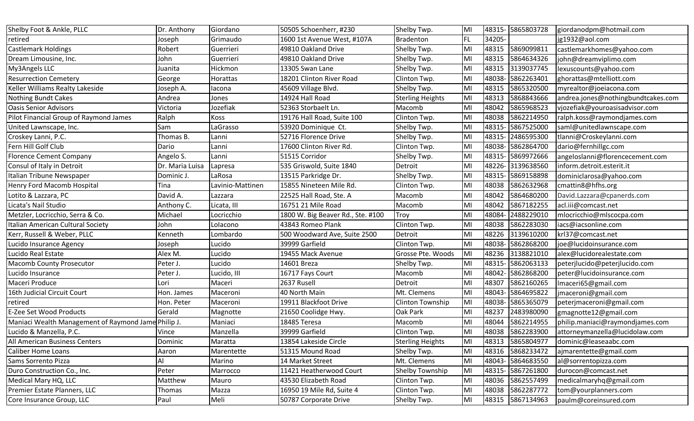| Shelby Foot & Ankle, PLLC                           | Dr. Anthony     | Giordano         | 50505 Schoenherr, #230            | Shelby Twp.             | MI        |        | 48315- 5865803728 | giordanodpm@hotmail.com            |
|-----------------------------------------------------|-----------------|------------------|-----------------------------------|-------------------------|-----------|--------|-------------------|------------------------------------|
| retired                                             | Joseph          | Grimaudo         | 1600 1st Avenue West, #107A       | <b>Bradenton</b>        | <b>FL</b> | 34205  |                   | jg1932@aol.com                     |
| <b>Castlemark Holdings</b>                          | Robert          | Guerrieri        | 49810 Oakland Drive               | Shelby Twp.             | MI        | 48315  | 5869099811        | castlemarkhomes@yahoo.com          |
| Dream Limousine, Inc.                               | John            | Guerrieri        | 49810 Oakland Drive               | Shelby Twp.             | MI        | 48315  | 5864634326        | john@dreamviplimo.com              |
| My3Angels LLC                                       | Juanita         | Hickmon          | 13305 Swan Lane                   | Shelby Twp.             | MI        | 48315  | 3139037745        | lexuscounts@yahoo.com              |
| <b>Resurrection Cemetery</b>                        | George          | Horattas         | 18201 Clinton River Road          | Clinton Twp.            | MI        | 48038  | 5862263401        | ghorattas@mtelliott.com            |
| Keller Williams Realty Lakeside                     | Joseph A.       | lacona           | 45609 Village Blvd.               | Shelby Twp.             | MI        | 48315  | 5865320500        | myrealtor@joeiacona.com            |
| <b>Nothing Bundt Cakes</b>                          | Andrea          | Jones            | 14924 Hall Road                   | <b>Sterling Heights</b> | MI        | 48313  | 5868843666        | andrea.jones@nothingbundtcakes.com |
| <b>Oasis Senior Advisors</b>                        | Victoria        | Jozefiak         | 52363 Storbaelt Ln.               | Macomb                  | MI        | 48042  | 5865968523        | vjozefiak@youroasisadvisor.com     |
| Pilot Financial Group of Raymond James              | Ralph           | Koss             | 19176 Hall Road, Suite 100        | Clinton Twp.            | MI        | 48038  | 5862214950        | ralph.koss@raymondjames.com        |
| United Lawnscape, Inc.                              | Sam             | LaGrasso         | 53920 Dominique Ct.               | Shelby Twp.             | MI        | 48315  | 5867525000        | saml@unitedlawnscape.com           |
| Croskey Lanni, P.C.                                 | Thomas B.       | Lanni            | 52716 Florence Drive              | Shelby Twp.             | MI        | 48315  | 2486595300        | tlanni@Croskeylanni.com            |
| Fern Hill Golf Club                                 | Dario           | Lanni            | 17600 Clinton River Rd.           | Clinton Twp.            | MI        | 48038- | 5862864700        | dario@fernhillgc.com               |
| <b>Florence Cement Company</b>                      | Angelo S.       | Lanni            | 51515 Corridor                    | Shelby Twp.             | MI        | 48315  | 5869972666        | angeloslanni@florencecement.com    |
| Consul of Italy in Detroit                          | Dr. Maria Luisa | Lapresa          | 535 Griswold, Suite 1840          | Detroit                 | MI        | 48226  | 3139638560        | inform.detroit.esterit.it          |
| Italian Tribune Newspaper                           | Dominic J.      | LaRosa           | 13515 Parkridge Dr.               | Shelby Twp.             | MI        | 48315- | 5869158898        | dominiclarosa@yahoo.com            |
| Henry Ford Macomb Hospital                          | Tina            | Lavinio-Mattinen | 15855 Nineteen Mile Rd.           | Clinton Twp.            | MI        | 48038  | 5862632968        | cmattin8@hfhs.org                  |
| Lotito & Lazzara, PC                                | David A.        | Lazzara          | 22525 Hall Road, Ste. A           | Macomb                  | MI        | 48042  | 5864680200        | David.Lazzara@cpanerds.com         |
| Licata's Nail Studio                                | Anthony C.      | Licata, III      | 16751 21 Mile Road                | Macomb                  | MI        | 48042  | 5867182255        | acl.iii@comcast.net                |
| Metzler, Locricchio, Serra & Co.                    | Michael         | Locricchio       | 1800 W. Big Beaver Rd., Ste. #100 | Troy                    | MI        | 48084  | 2488229010        | mlocricchio@mlscocpa.com           |
| Italian American Cultural Society                   | John            | Lolacono         | 43843 Romeo Plank                 | Clinton Twp.            | MI        | 48038  | 5862283030        | iacs@iacsonline.com                |
| Kerr, Russell & Weber, PLLC                         | Kenneth         | Lombardo         | 500 Woodward Ave, Suite 2500      | Detroit                 | MI        | 48226  | 3139610200        | krl37@comcast.net                  |
| Lucido Insurance Agency                             | Joseph          | Lucido           | 39999 Garfield                    | Clinton Twp.            | MI        | 48038- | 5862868200        | joe@lucidoinsurance.com            |
| Lucido Real Estate                                  | Alex M.         | Lucido           | 19455 Mack Avenue                 | Grosse Pte. Woods       | MI        | 48236  | 3138821010        | alex@lucidorealestate.com          |
| <b>Macomb County Prosecutor</b>                     | Peter J.        | Lucido           | 14601 Breza                       | Shelby Twp.             | MI        | 48315  | 5862063133        | peterjlucido@peterjlucido.com      |
| Lucido Insurance                                    | Peter J.        | Lucido, III      | 16717 Fays Court                  | Macomb                  | MI        | 48042  | 5862868200        | peter@lucidoinsurance.com          |
| Maceri Produce                                      | Lori            | Maceri           | 2637 Rusell                       | Detroit                 | MI        | 48307  | 5862160265        | Imaceri65@gmail.com                |
| 16th Judicial Circuit Court                         | Hon. James      | Maceroni         | 40 North Main                     | Mt. Clemens             | MI        | 48043  | 5864695822        | jmaceroni@gmail.com                |
| retired                                             | Hon. Peter      | Maceroni         | 19911 Blackfoot Drive             | Clinton Township        | MI        | 48038  | 5865365079        | peterjmaceroni@gmail.com           |
| E-Zee Set Wood Products                             | Gerald          | Magnotte         | 21650 Coolidge Hwy.               | Oak Park                | MI        | 48237  | 2483980090        | gmagnotte12@gmail.com              |
| Maniaci Wealth Management of Raymond Jame Philip J. |                 | Maniaci          | 18485 Teresa                      | Macomb                  | MI        | 48044  | 5862214955        | philip.maniaci@raymondjames.com    |
| Lucido & Manzella, P.C.                             | Vince           | Manzella         | 39999 Garfield                    | Clinton Twp.            | MI        |        | 48038 5862283900  | attorneymanzella@lucidolaw.com     |
| <b>All American Business Centers</b>                | Dominic         | Maratta          | 13854 Lakeside Circle             | <b>Sterling Heights</b> | MI        | 48313  | 5865804977        | dominic@leaseaabc.com              |
| Caliber Home Loans                                  | Aaron           | Marentette       | 51315 Mound Road                  | Shelby Twp.             | MI        | 48316  | 5868233472        | ajmarentette@gmail.com             |
| Sams Sorrento Pizza                                 | Al              | Marino           | 14 Market Street                  | Mt. Clemens             | MI        | 48043  | 5864683550        | al@sorrentopizza.com               |
| Duro Construction Co., Inc.                         | Peter           | Marrocco         | 11421 Heatherwood Court           | Shelby Township         | MI        | 48315- | - 5867261800      | durocon@comcast.net                |
| Medical Mary HQ, LLC                                | Matthew         | Mauro            | 43530 Elizabeth Road              | Clinton Twp.            | MI        | 48036  | 5862557499        | medicalmaryhq@gmail.com            |
| Premier Estate Planners, LLC                        | Thomas          | Mazza            | 16950 19 Mile Rd, Suite 4         | Clinton Twp.            | MI        | 48038  | 5862287772        | tom@yourplanners.com               |
| Core Insurance Group, LLC                           | Paul            | Meli             | 50787 Corporate Drive             | Shelby Twp.             | MI        |        | 48315 5867134963  | paulm@coreinsured.com              |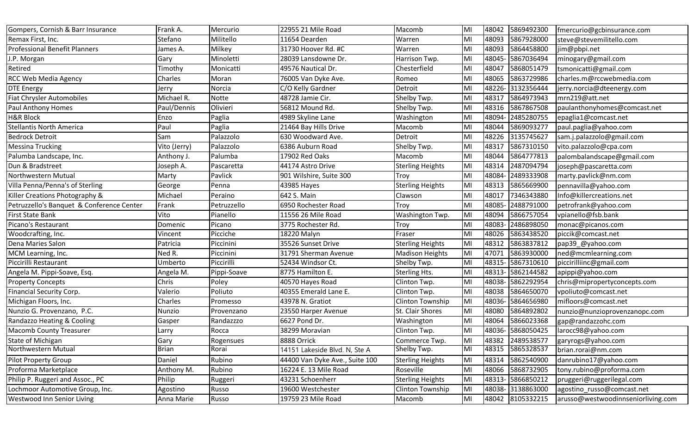| Gompers, Cornish & Barr Insurance         | Frank A.     | Mercurio    | 22955 21 Mile Road             | Macomb                  | <b>MI</b> | 48042  | 5869492300        | fmercurio@gcbinsurance.com         |
|-------------------------------------------|--------------|-------------|--------------------------------|-------------------------|-----------|--------|-------------------|------------------------------------|
| Remax First, Inc.                         | Stefano      | Militello   | 11654 Dearden                  | Warren                  | MI        | 48093  | 5867928000        | steve@stevemilitello.com           |
| <b>Professional Benefit Planners</b>      | lames A.     | Milkey      | 31730 Hoover Rd. #C            | Warren                  | MI        | 48093  | 5864458800        | jim@pbpi.net                       |
| J.P. Morgan                               | Gary         | Minoletti   | 28039 Lansdowne Dr.            | Harrison Twp.           | MI        | 48045  | 5867036494        | minogary@gmail.com                 |
| Retired                                   | Timothy      | Monicatti   | 49576 Nautical Dr.             | Chesterfield            | <b>MI</b> | 48047  | 5868051479        | tsmonicatti@gmail.com              |
| <b>RCC Web Media Agency</b>               | Charles      | Moran       | 76005 Van Dyke Ave.            | Romeo                   | MI        | 48065  | 5863729986        | charles.m@rccwebmedia.com          |
| <b>DTE Energy</b>                         | Jerry        | Norcia      | C/O Kelly Gardner              | Detroit                 | MI        | 48226  | 3132356444        | jerry.norcia@dteenergy.com         |
| <b>Fiat Chrysler Automobiles</b>          | Michael R.   | Notte       | 48728 Jamie Cir.               | Shelby Twp.             | <b>MI</b> | 48317  | 5864973943        | mrn219@att.net                     |
| Paul Anthony Homes                        | Paul/Dennis  | Olivieri    | 56812 Mound Rd.                | Shelby Twp.             | <b>MI</b> | 48316  | 5867867508        | paulanthonyhomes@comcast.net       |
| <b>H&amp;R Block</b>                      | Enzo         | Paglia      | 4989 Skyline Lane              | Washington              | <b>MI</b> | 48094  | 2485280755        | epaglia1@comcast.net               |
| <b>Stellantis North America</b>           | Paul         | Paglia      | 21464 Bay Hills Drive          | Macomb                  | MI        | 48044  | 5869093277        | paul.paglia@yahoo.com              |
| <b>Bedrock Detroit</b>                    | Sam          | Palazzolo   | 630 Woodward Ave.              | Detroit                 | MI        | 48226  | 3135745627        | sam.j.palazzolo@gmail.com          |
| <b>Messina Trucking</b>                   | Vito (Jerry) | Palazzolo   | 6386 Auburn Road               | Shelby Twp.             | MI        | 48317  | 5867310150        | vito.palazzolo@cpa.com             |
| Palumba Landscape, Inc.                   | Anthony J.   | Palumba     | 17902 Red Oaks                 | Macomb                  | MI        | 48044  | 5864777813        | palombalandscape@gmail.com         |
| Dun & Bradstreet                          | Joseph A.    | Pascaretta  | 44174 Astro Drive              | <b>Sterling Heights</b> | MI        | 48314  | 2487094794        | joseph@pascaretta.com              |
| Northwestern Mutual                       | Marty        | Pavlick     | 901 Wilshire, Suite 300        | Troy                    | MI        | 48084  | 2489333908        | marty.pavlick@nm.com               |
| Villa Penna/Penna's of Sterling           | George       | Penna       | 43985 Hayes                    | <b>Sterling Heights</b> | MI        | 48313  | 5865669900        | pennavilla@yahoo.com               |
| Killer Creations Photography &            | Michael      | Peraino     | 642 S. Main                    | Clawson                 | MI        | 48017  | 7346343880        | Info@killercreations.net           |
| Petruzzello's Banquet & Conference Center | Frank        | Petruzzello | 6950 Rochester Road            | Troy                    | <b>MI</b> | 48085  | 2488791000        | petrofrank@yahoo.com               |
| <b>First State Bank</b>                   | Vito         | Pianello    | 11556 26 Mile Road             | Washington Twp.         | MI        | 48094  | 5866757054        | vpianello@fsb.bank                 |
| Picano's Restaurant                       | Domenic      | Picano      | 3775 Rochester Rd.             | Troy                    | Iмı       | 48083  | 2486898050        | monac@picanos.com                  |
| Woodcrafting, Inc.                        | Vincent      | Picciche    | 18220 Malyn                    | Fraser                  | MI        | 48026  | 5863438520        | piccik@comcast.net                 |
| Dena Maries Salon                         | Patricia     | Piccinini   | 35526 Sunset Drive             | <b>Sterling Heights</b> | MI        | 48312  | 5863837812        | pap39_@yahoo.com                   |
| MCM Learning, Inc.                        | Ned R.       | Piccinini   | 31791 Sherman Avenue           | <b>Madison Heights</b>  | MI        | 47071  | 5863930000        | ned@mcmlearning.com                |
| Piccirilli Restaurant                     | Umberto      | Piccirilli  | 52434 Windsor Ct.              | Shelby Twp.             | MI        | 48315  | 5867310610        | piccirilliinc@gmail.com            |
| Angela M. Pippi-Soave, Esq.               | Angela M.    | Pippi-Soave | 8775 Hamilton E.               | <b>Sterling Hts.</b>    | <b>MI</b> | 48313  | 5862144582        | apippi@yahoo.com                   |
| <b>Property Concepts</b>                  | Chris        | Poley       | 40570 Hayes Road               | Clinton Twp.            | MI        | 48038  | 5862292954        | chris@mipropertyconcepts.com       |
| <b>Financial Security Corp.</b>           | Valerio      | Poliuto     | 40355 Emerald Lane E.          | Clinton Twp.            | <b>MI</b> | 48038  | 5864650070        | vpoliuto@comcast.net               |
| Michigan Floors, Inc.                     | Charles      | Promesso    | 43978 N. Gratiot               | Clinton Township        | MI        | 48036  | 5864656980        | mifloors@comcast.net               |
| Nunzio G. Provenzano, P.C.                | Nunzio       | Provenzano  | 23550 Harper Avenue            | St. Clair Shores        | <b>MI</b> | 48080  | 5864892802        | nunzio@nunzioprovenzanopc.com      |
| Randazzo Heating & Cooling                | Gasper       | Randazzzo   | 6627 Pond Dr.                  | Washington              | MI        | 48064  | 5866023368        | gap@randazzohc.com                 |
| Macomb County Treasurer                   | Larry        | Rocca       | 38299 Moravian                 | Clinton Twp.            | MI        |        | 48036- 5868050425 | larocc98@yahoo.com                 |
| State of Michigan                         | Gary         | Rogensues   | 8888 Orrick                    | Commerce Twp.           | MI        | 48382  | 2489538577        | garyrogs@yahoo.com                 |
| Northwestern Mutual                       | <b>Brian</b> | Rorai       | 14151 Lakeside Blvd. N, Ste A  | Shelby Twp.             | MI        | 48315  | 5865328537        | brian.rorai@nm.com                 |
| <b>Pilot Property Group</b>               | Daniel       | Rubino      | 44400 Van Dyke Ave., Suite 100 | <b>Sterling Heights</b> | MI        | 48314  | 5862540900        | danrubino17@yahoo.com              |
| Proforma Marketplace                      | Anthony M.   | Rubino      | 16224 E. 13 Mile Road          | Roseville               | MI        | 48066  | 5868732905        | tony.rubino@proforma.com           |
| Philip P. Ruggeri and Assoc., PC          | Philip       | Ruggeri     | 43231 Schoenherr               | <b>Sterling Heights</b> | MI        | 48313- | 5866850212        | pruggeri@ruggerilegal.com          |
| Lochmoor Automotive Group, Inc.           | Agostino     | Russo       | 19600 Westchester              | Clinton Township        | MI        |        | 48038- 3138863000 | agostino_russo@comcast.net         |
| Westwood Inn Senior Living                | Anna Marie   | Russo       | 19759 23 Mile Road             | Macomb                  | MI        |        | 48042 8105332215  | arusso@westwoodinnseniorliving.com |